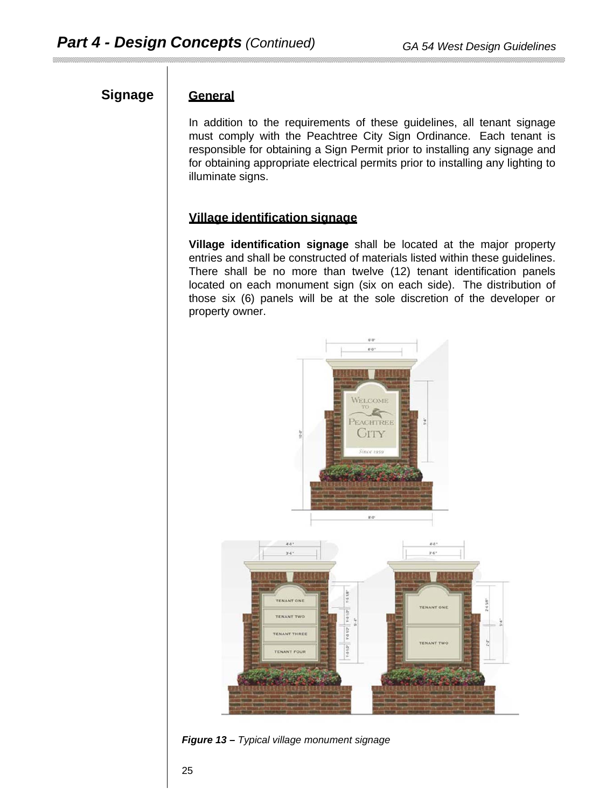# Signage General

In addition to the requirements of these guidelines, all tenant signage must comply with the Peachtree City Sign Ordinance. Each tenant is responsible for obtaining a Sign Permit prior to installing any signage and for obtaining appropriate electrical permits prior to installing any lighting to illuminate signs.

### **Village identification signage**

**Village identification signage** shall be located at the major property entries and shall be constructed of materials listed within these guidelines. There shall be no more than twelve (12) tenant identification panels located on each monument sign (six on each side). The distribution of those six (6) panels will be at the sole discretion of the developer or property owner.



*Figure 13* **–** *Typical village monument signage*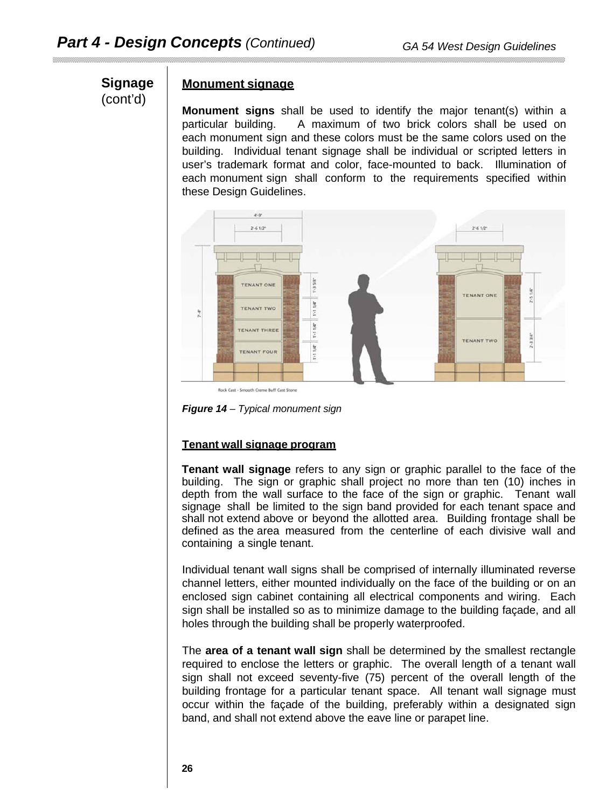# **Signage** (cont'd)

#### **Monument signage**

**Monument signs** shall be used to identify the major tenant(s) within a particular building. A maximum of two brick colors shall be used on each monument sign and these colors must be the same colors used on the building. Individual tenant signage shall be individual or scripted letters in user's trademark format and color, face-mounted to back. Illumination of each monument sign shall conform to the requirements specified within these Design Guidelines.



Rock Cast - Smooth Creme Buff Cast Stone



# **Tenant wall signage program**

**Tenant wall signage** refers to any sign or graphic parallel to the face of the building. The sign or graphic shall project no more than ten (10) inches in depth from the wall surface to the face of the sign or graphic. Tenant wall signage shall be limited to the sign band provided for each tenant space and shall not extend above or beyond the allotted area. Building frontage shall be defined as the area measured from the centerline of each divisive wall and containing a single tenant.

Individual tenant wall signs shall be comprised of internally illuminated reverse channel letters, either mounted individually on the face of the building or on an enclosed sign cabinet containing all electrical components and wiring. Each sign shall be installed so as to minimize damage to the building façade, and all holes through the building shall be properly waterproofed.

The **area of a tenant wall sign** shall be determined by the smallest rectangle required to enclose the letters or graphic. The overall length of a tenant wall sign shall not exceed seventy-five (75) percent of the overall length of the building frontage for a particular tenant space. All tenant wall signage must occur within the façade of the building, preferably within a designated sign band, and shall not extend above the eave line or parapet line.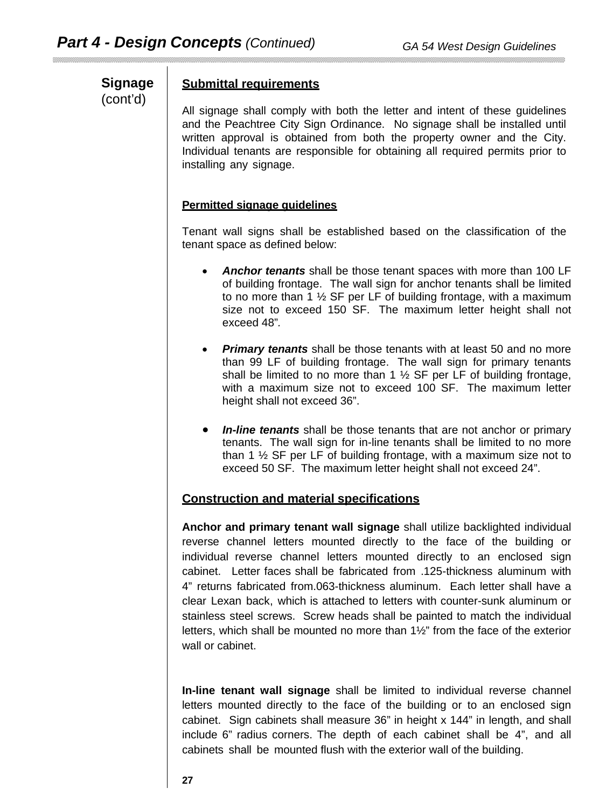**Signage** (cont'd)

#### **Submittal requirements**

All signage shall comply with both the letter and intent of these guidelines and the Peachtree City Sign Ordinance. No signage shall be installed until written approval is obtained from both the property owner and the City. Individual tenants are responsible for obtaining all required permits prior to installing any signage.

#### **Permitted signage guidelines**

Tenant wall signs shall be established based on the classification of the tenant space as defined below:

- *Anchor tenants* shall be those tenant spaces with more than 100 LF of building frontage. The wall sign for anchor tenants shall be limited to no more than 1 ½ SF per LF of building frontage, with a maximum size not to exceed 150 SF. The maximum letter height shall not exceed 48"*.*
- *Primary tenants* shall be those tenants with at least 50 and no more than 99 LF of building frontage. The wall sign for primary tenants shall be limited to no more than 1  $\frac{1}{2}$  SF per LF of building frontage, with a maximum size not to exceed 100 SF. The maximum letter height shall not exceed 36".
- *In-line tenants* shall be those tenants that are not anchor or primary tenants. The wall sign for in-line tenants shall be limited to no more than 1 ½ SF per LF of building frontage, with a maximum size not to exceed 50 SF. The maximum letter height shall not exceed 24".

#### **Construction and material specifications**

**Anchor and primary tenant wall signage** shall utilize backlighted individual reverse channel letters mounted directly to the face of the building or individual reverse channel letters mounted directly to an enclosed sign cabinet. Letter faces shall be fabricated from .125-thickness aluminum with 4" returns fabricated from.063-thickness aluminum. Each letter shall have a clear Lexan back, which is attached to letters with counter-sunk aluminum or stainless steel screws. Screw heads shall be painted to match the individual letters, which shall be mounted no more than 1½" from the face of the exterior wall or cabinet.

**In-line tenant wall signage** shall be limited to individual reverse channel letters mounted directly to the face of the building or to an enclosed sign cabinet. Sign cabinets shall measure 36" in height x 144" in length, and shall include 6" radius corners. The depth of each cabinet shall be 4", and all cabinets shall be mounted flush with the exterior wall of the building.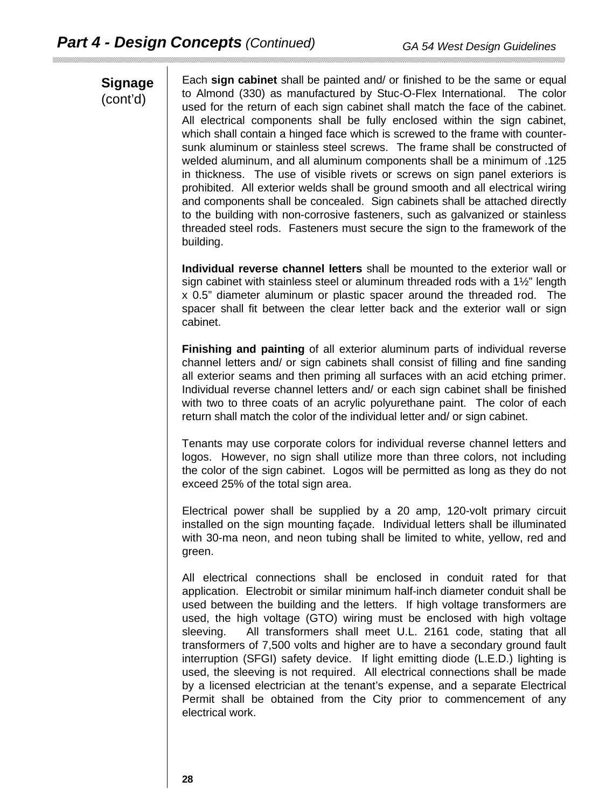# **Signage** (cont'd)

Each **sign cabinet** shall be painted and/ or finished to be the same or equal to Almond (330) as manufactured by Stuc-O-Flex International. The color used for the return of each sign cabinet shall match the face of the cabinet. All electrical components shall be fully enclosed within the sign cabinet, which shall contain a hinged face which is screwed to the frame with countersunk aluminum or stainless steel screws. The frame shall be constructed of welded aluminum, and all aluminum components shall be a minimum of .125 in thickness. The use of visible rivets or screws on sign panel exteriors is prohibited. All exterior welds shall be ground smooth and all electrical wiring and components shall be concealed. Sign cabinets shall be attached directly to the building with non-corrosive fasteners, such as galvanized or stainless threaded steel rods. Fasteners must secure the sign to the framework of the building.

**Individual reverse channel letters** shall be mounted to the exterior wall or sign cabinet with stainless steel or aluminum threaded rods with a 1½" length x 0.5" diameter aluminum or plastic spacer around the threaded rod. The spacer shall fit between the clear letter back and the exterior wall or sign cabinet.

**Finishing and painting** of all exterior aluminum parts of individual reverse channel letters and/ or sign cabinets shall consist of filling and fine sanding all exterior seams and then priming all surfaces with an acid etching primer. Individual reverse channel letters and/ or each sign cabinet shall be finished with two to three coats of an acrylic polyurethane paint. The color of each return shall match the color of the individual letter and/ or sign cabinet.

Tenants may use corporate colors for individual reverse channel letters and logos. However, no sign shall utilize more than three colors, not including the color of the sign cabinet. Logos will be permitted as long as they do not exceed 25% of the total sign area.

Electrical power shall be supplied by a 20 amp, 120-volt primary circuit installed on the sign mounting façade. Individual letters shall be illuminated with 30-ma neon, and neon tubing shall be limited to white, yellow, red and green.

All electrical connections shall be enclosed in conduit rated for that application. Electrobit or similar minimum half-inch diameter conduit shall be used between the building and the letters. If high voltage transformers are used, the high voltage (GTO) wiring must be enclosed with high voltage sleeving. All transformers shall meet U.L. 2161 code, stating that all transformers of 7,500 volts and higher are to have a secondary ground fault interruption (SFGI) safety device. If light emitting diode (L.E.D.) lighting is used, the sleeving is not required. All electrical connections shall be made by a licensed electrician at the tenant's expense, and a separate Electrical Permit shall be obtained from the City prior to commencement of any electrical work.